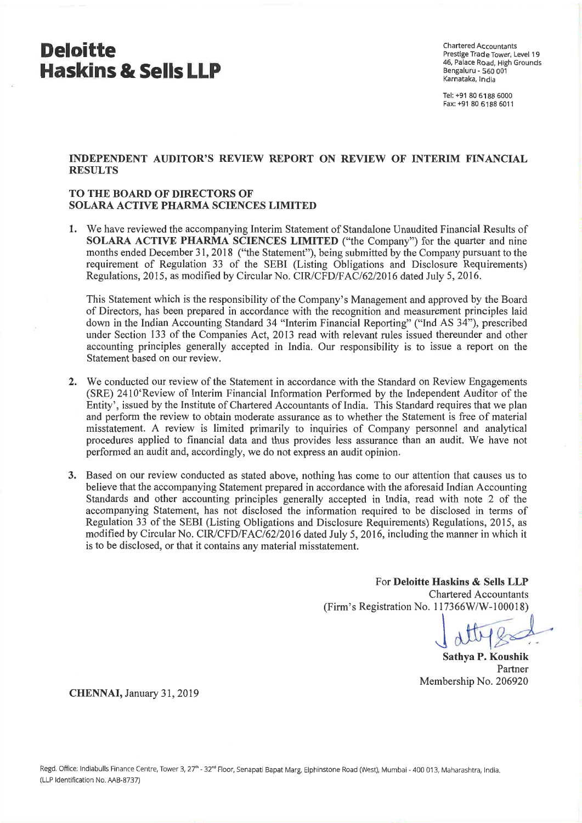# **Deloitte Haskins & Sells LLP**

**Chartered Accountants** Prestige Trade Tower, Level 19 46. Palace Road. High Grounds Bengaluru - 560 001 Karnataka, India

Tel: +91 80 6188 6000 Fax: +91 80 6188 6011

## INDEPENDENT AUDITOR'S REVIEW REPORT ON REVIEW OF INTERIM FINANCIAL **RESULTS**

### TO THE BOARD OF DIRECTORS OF SOLARA ACTIVE PHARMA SCIENCES LIMITED

1. We have reviewed the accompanying Interim Statement of Standalone Unaudited Financial Results of SOLARA ACTIVE PHARMA SCIENCES LIMITED ("the Company") for the quarter and nine months ended December 31, 2018 ("the Statement"), being submitted by the Company pursuant to the requirement of Regulation 33 of the SEBI (Listing Obligations and Disclosure Requirements) Regulations, 2015, as modified by Circular No. CIR/CFD/FAC/62/2016 dated July 5, 2016.

This Statement which is the responsibility of the Company's Management and approved by the Board of Directors, has been prepared in accordance with the recognition and measurement principles laid down in the Indian Accounting Standard 34 "Interim Financial Reporting" ("Ind AS 34"), prescribed under Section 133 of the Companies Act, 2013 read with relevant rules issued thereunder and other accounting principles generally accepted in India. Our responsibility is to issue a report on the Statement based on our review.

- 2. We conducted our review of the Statement in accordance with the Standard on Review Engagements (SRE) 2410 Review of Interim Financial Information Performed by the Independent Auditor of the Entity', issued by the Institute of Chartered Accountants of India. This Standard requires that we plan and perform the review to obtain moderate assurance as to whether the Statement is free of material misstatement. A review is limited primarily to inquiries of Company personnel and analytical procedures applied to financial data and thus provides less assurance than an audit. We have not performed an audit and, accordingly, we do not express an audit opinion.
- 3. Based on our review conducted as stated above, nothing has come to our attention that causes us to believe that the accompanying Statement prepared in accordance with the aforesaid Indian Accounting Standards and other accounting principles generally accepted in India, read with note 2 of the accompanying Statement, has not disclosed the information required to be disclosed in terms of Regulation 33 of the SEBI (Listing Obligations and Disclosure Requirements) Regulations, 2015, as modified by Circular No. CIR/CFD/FAC/62/2016 dated July 5, 2016, including the manner in which it is to be disclosed, or that it contains any material misstatement.

For Deloitte Haskins & Sells LLP **Chartered Accountants** (Firm's Registration No. 117366W/W-100018)

Sathya P. Koushik Partner Membership No. 206920

CHENNAI, January 31, 2019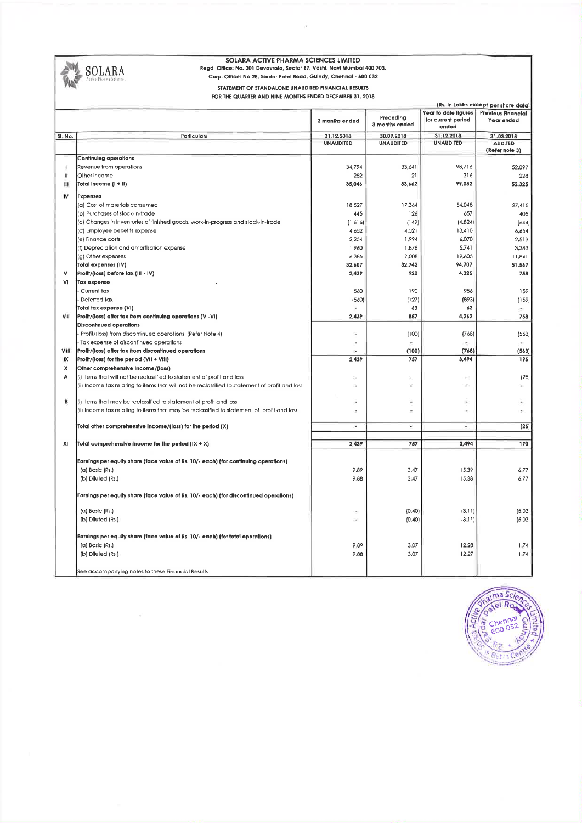

 $\overline{\psi}$ 

#### SOLARA ACTIVE PHARMA SCIENCES LIMITED Regd. Office: No. 201 Devavrata, Sector 17, Vashi, Navi Mumbal 400 703. Corp. Office: No 28, Sardar Patel Road, Guindy, Chennal - 600 032

STATEMENT OF STANDALONE UNAUDITED FINANCIAL RESULTS

FOR THE QUARTER AND NINE MONTHS ENDED DECEMBER 31, 2018

|                        | (Rs. In Lakhs except per share data)                                                            |                          |                             |                                                     |                                  |  |  |
|------------------------|-------------------------------------------------------------------------------------------------|--------------------------|-----------------------------|-----------------------------------------------------|----------------------------------|--|--|
|                        |                                                                                                 | 3 months ended           | Preceding<br>3 months ended | Year to date figures<br>for current period<br>ended | Previous Financial<br>Year ended |  |  |
| SI. No.                | Particulars                                                                                     | 31.12.2018               | 30.09.2018                  | 31.12.2018                                          | 31.03.2018                       |  |  |
|                        |                                                                                                 | <b>UNAUDITED</b>         | <b>UNAUDITED</b>            | <b>UNAUDITED</b>                                    | <b>AUDITED</b>                   |  |  |
|                        | <b>Continuing operations</b>                                                                    |                          |                             |                                                     | (Refer note 3)                   |  |  |
| I)                     | Revenue from operations                                                                         | 34,794                   | 33,641                      | 98.716                                              |                                  |  |  |
| ü                      | Olher income                                                                                    | 252                      | 21                          | 316                                                 | 52,097<br>228                    |  |  |
| Ш                      | Total Income (I + II)                                                                           | 35.046                   | 33,662                      | 99,032                                              | 52,325                           |  |  |
|                        |                                                                                                 |                          |                             |                                                     |                                  |  |  |
| $\mathsf{I}\mathsf{V}$ | <b>Expenses</b>                                                                                 |                          |                             |                                                     |                                  |  |  |
|                        | (a) Cost of materials consumed                                                                  | 18,527                   | 17,364                      | 54,048                                              | 27,415                           |  |  |
|                        | (b) Purchases of stock-in-trade                                                                 | 445                      | 126                         | 657                                                 | 405                              |  |  |
|                        | (c) Changes in inventories of finished goods, work-in-progress and slock-in-Irade               | (1,616)                  | (149)                       | (4, 824)                                            | (644)                            |  |  |
|                        | (d) Employee benefits expense                                                                   | 4,652                    | 4,521                       | 13,410                                              | 6,654                            |  |  |
|                        | (e) Finance costs                                                                               | 2,254                    | 1,994                       | 6,070                                               | 2,513                            |  |  |
|                        | (f) Depreciation and amortIsation expense                                                       | 1,960                    | 1,878                       | 5,741                                               | 3,383                            |  |  |
|                        | (g) Other expenses                                                                              | 6,385                    | 7,008                       | 19,605<br>94,707                                    | 11,841                           |  |  |
|                        | Total expenses (IV)                                                                             | 32,607                   | 32,742                      |                                                     | 51.567                           |  |  |
| $\mathsf{v}$           | Profit/(loss) before tax (III - IV)                                                             | 2,439                    | 920                         | 4,325                                               | 758                              |  |  |
| VI                     | Tax expense                                                                                     |                          |                             |                                                     |                                  |  |  |
|                        | Current tax                                                                                     | 560                      | 190                         | 956                                                 | 159                              |  |  |
|                        | Deferred lax                                                                                    | (560)                    | (127)                       | (893)                                               | (159)                            |  |  |
| VII.                   | Total tax expense (VI)                                                                          |                          | 63<br>857                   | 63                                                  |                                  |  |  |
|                        | Profit/(loss) after tax from continuing operations (V -VI)                                      | 2,439                    |                             | 4,262                                               | 758                              |  |  |
|                        | <b>Discontinued operations</b>                                                                  | u                        |                             |                                                     |                                  |  |  |
|                        | Profit/(loss) from discontinued operations (Refer Note 4)                                       |                          | (100)                       | (768)                                               | (563)                            |  |  |
| VIII                   | Tax expense of discontinued operations<br>Profit/(loss) after tax from discontinued operations  | ٠                        | (100)                       | (768)                                               |                                  |  |  |
| IX                     | Profit/(loss) for the period (VII + VIII)                                                       | 2,439                    | 757                         | 3,494                                               | (563)<br>195                     |  |  |
| $\mathbf x$            | Other comprehensive income/(loss)                                                               |                          |                             |                                                     |                                  |  |  |
| A                      | (i) Items that will not be reclassified to statement of profil and loss                         | ă,                       |                             |                                                     |                                  |  |  |
|                        | (ii) Income tax relating to ilems that will not be reclassified to statement of profil and loss |                          |                             | E                                                   | (25)                             |  |  |
|                        |                                                                                                 |                          |                             |                                                     |                                  |  |  |
| B                      | (i) Ilems that may be reclassified to slatement of profit and loss                              | ٠                        | ×                           | $\sim$                                              |                                  |  |  |
|                        | (ii) Income tax relating to items that may be reclassified to slatement of profit and loss      | ż                        |                             |                                                     |                                  |  |  |
|                        |                                                                                                 |                          |                             |                                                     |                                  |  |  |
|                        | Total other comprehensive income/(loss) for the period (X)                                      | i.                       | ÷.                          | ×.                                                  | (25)                             |  |  |
|                        |                                                                                                 |                          |                             |                                                     |                                  |  |  |
| XI                     | Total comprehensive income for the period (IX + X)                                              | 2,439                    | 757                         | 3,494                                               | 170                              |  |  |
|                        | Earnings per equity share (face value of Rs. 10/- each) (for continuing operations)             |                          |                             |                                                     |                                  |  |  |
|                        | (a) Basic (Rs.)                                                                                 | 9.89                     | 3.47                        | 15.39                                               | 6.77                             |  |  |
|                        | (b) Diluled (Rs.)                                                                               | 9.88                     | 3:47                        | 15.38                                               | 6.77                             |  |  |
|                        |                                                                                                 |                          |                             |                                                     |                                  |  |  |
|                        | Earnings per equity share (face value of Rs. 10/- each) (for discontinued operations)           |                          |                             |                                                     |                                  |  |  |
|                        | (a) Basic (Rs.)                                                                                 | ٠                        | (0.40)                      | (3.11)                                              | (5.03)                           |  |  |
|                        | (b) Diluted (Rs.)                                                                               | $\overline{\phantom{a}}$ | (0.40)                      | (3.11)                                              | (5.03)                           |  |  |
|                        |                                                                                                 |                          |                             |                                                     |                                  |  |  |
|                        | Earnings per equity share (face value of Rs. 10/- each) (for total operations)                  |                          |                             |                                                     |                                  |  |  |
|                        | (a) Basic (Rs.)                                                                                 | 9.89                     | 3.07                        | 12.28                                               | 1.74                             |  |  |
|                        | (b) Diluted (Rs.)                                                                               | 9.88                     | 3.07                        | 12,27                                               | 1.74                             |  |  |
|                        |                                                                                                 |                          |                             |                                                     |                                  |  |  |
|                        | See accompanying notes to these Financial Results                                               |                          |                             |                                                     |                                  |  |  |

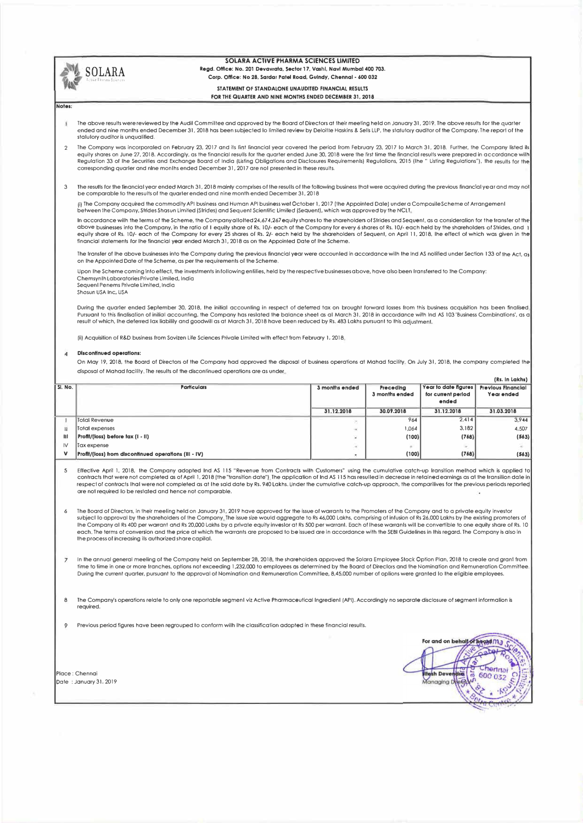

#### **SOLARA ACTIVE PHARMA SCIENCES LIMITED**  Regd. Office: No. 201 Devavrata, Sector 17, Vashl, Novi Mumbai 400 703. **Corp. Office: No 28. Sardar Patel Road. Gulndy. Chennal • 600 032 STATEMENT OF STANDALONE UNAUDITED FINANCIAL RESULTS**

## **FOR THE QUARTER AND NINE MONTHS ENDED DECEMBER 31. 2018**

#### Notes:

- The above results were reviewed by the Audil Commiltee and approved by the Board of Directors at their meeting held on January 31, 2019. The above results for the quarter<br>ended and nine months ended December 31, 2018 has b stalulory auditor is unqualified.
- The Company was incorporaled on February 23, 2017 and its first financial year covered the period from February 23, 2017 Io March 31, 2018. Further, the Company listed its وequity shares on June 27, 2018. Accordingly, as t Regula1ion 33 of lhe Securities and Exchange Board of India (Listing Obligations and Disclosures Requiremenls) Regulalions, 2015 (lhe " Listing Regulations"), the resulis for the corresponding quarler and nine monlhs ended December 31, 2017 are nol presented in these results.
- 3 The results for the linancial yeor ended March 31. 2018 mainly comprises of the resulls of the following business that were acquired during the previous financial year and may nof be comparable to the results of the quarter ended and nine month ended December 31, 2018

(i) The Company acquired the commodity API business and Human API business wef October 1, 2017 [1he Appointed Dale) under a Composile Scheme or Arrangemenl **between lhe Company. Strides Shasun Llmiled (Slrides) and Sequent Scientific Limlled (Sequent). which was approved by the NCLT** 

In accordance wilh the terms of the Scheme, the Company allolted 24,674,267 equity shares to the shareholders of Strides and Sequent, as a consideration for the transfer of the above businesses into the Company, in the ratio of 1 equity share of Rs. 10/- each of the Company for every 6 shares of Rs. 10/- each held by the shareholders of Strides, and 1<br>equity share of Rs, 10/- each of the Company financial sta1ements for lhe financial year ended March 31, 2018 as on the Appoin1ed Date of lhe Scheme.

The transfer of the above businesses into the Company during the previous financial year were accounled in accordance with the Ind AS notified under Section 133 of the Act, as on lhe Appointed Date of the Scheme, as per the requirements of the Scheme.

Upon lhe Scheme coming into effect, the investments in following enlilies, held by the respective businesses above, hove also been lransferred to the Company: Chemsynlh Laboratories Private limlled, Indio

nums, immediate diamos rimidio emmis<br>equenl Penems Private Limited, India

**Shosun USA Inc, USA** 

During the quarter ended September 30, 2018, the initial accounting in respect of deferred tax on brought forward losses from this business acquisition has been finalised Pursuant to this finalisalion of inilial accounting, the Company has reslated the balance sheet as al March 31, 2018 in accordance with Ind AS 103 'Business Combinations', as a<br>result of which, Ihe deferred lax liability a

{ii) Acquisition of R&D business from Sovizen Ute Sciences Privale limited with effect from February 1. 2018

#### Discontinued operations:

On May 19, 2018, the Board of Directors of the Company had approved the disposal of business operations at Mahad facility. On July 31, 2018, the company completed !he disposal of Mahad facility. The results of the discontinued operations are as under

|         | (Rs. In Lakhs)                                        |                          |                |                      |                           |  |
|---------|-------------------------------------------------------|--------------------------|----------------|----------------------|---------------------------|--|
| SI. No. | <b>Particulars</b>                                    | 3 months ended           | Preceding      | Year to date figures | <b>Previous Financial</b> |  |
|         |                                                       |                          | 3 months ended | for current period   | Year ended                |  |
|         |                                                       |                          |                | ended                |                           |  |
|         |                                                       | 31.12.2018               | 30.09.2018     | 31.12.2018           | 31.03.2018                |  |
|         | Total Revenue                                         |                          | 964            | 2.414                | 3,944                     |  |
| 11      | Total expenses                                        | $\overline{\phantom{a}}$ | 1.064          | 3,182                | 4,507                     |  |
| m       | Profit/(loss) before tax (I - II)                     |                          | (100)          | (768)                | (563)                     |  |
| IV      | l Tax expense                                         |                          |                | c                    |                           |  |
| v       | Profit/(loss) from discontinued operations (III - IV) |                          | (100)          | (768)                | (563)                     |  |

Effective April 1, 2018, the Company adopted Ind AS 115 "Revenue from Contracts with Customers" using the cumulative catch-up Iransition melhod which is applied to contracts that were not completed as of April 1, 2018 (the respect of contracts that were not completed as at the said date by Rs. 940 Lakhs. Under the cumulative catch-up approach, the comparilives for the previous periods reported and hence not comparable.

- 6 The Board of Directors, in 1heir meellng held on January 31, 2019 have approved for the Issue of warrants to the Promoters of the Company and to a private equity investor subject to approval by the shareholders of the Company. The issue size would aggregate to Rs 46,000 Lakhs, comprising of infusion of Rs 26,000 Lakhs by the existing promoters of lhe Company al Rs 400 per warrant and Rs 20,000 Lakhs by a private equity inveslor at Rs 500 per warrant. Each of lhese warranls wlll be convertible to one equity share of Rs. 10 each. The terms or conversion and the price at which the warrants are propo�d 1o be issued are in accordance with the SEBI Guidelines in this regard. The Company **ts** also in the process or Increasing ils authorized shore capilal.
- In the annual general meeling of the Company held on September 28, 2018, the shareholders approved the Solara Employee Stock Option Plan, 2018 to creale and grant from time to lime in one or more Iranches, options not exceeding 1,232,000 to employees as determined by the Board of Direclors and the Nomination and Remuneration Committee.<br>During the current quarter, pursuant to the approval

The Company's operations relate to only one reportable segmenl viz Active Pharmaceutical Ingredienl (API). Accordingly no separate disclosure of segment information is required.

Previous period figures have been regrouped to conform wilh lhe classification adopted in these financial results.

Place : Chennai **Dale :January31.2019** 

For and on behalf of property Chennai  $\frac{1}{100}$ Managing Deserties 600 032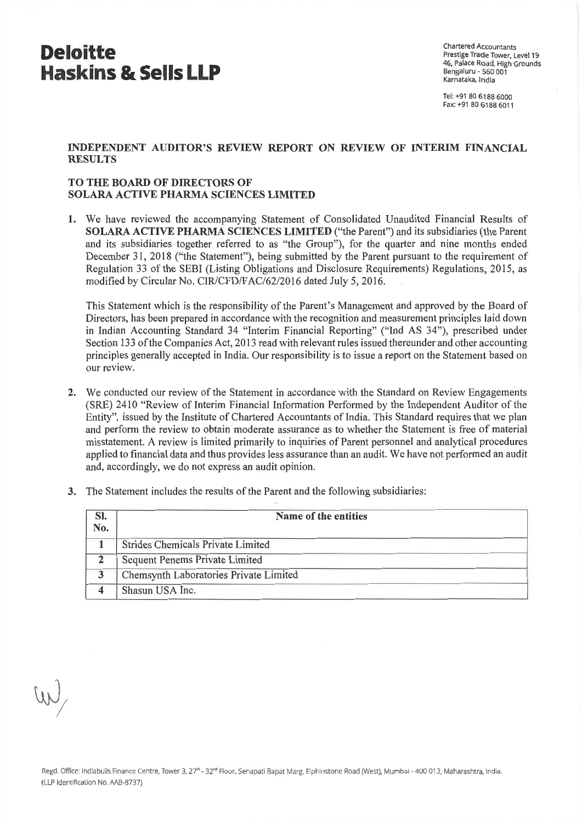# **Deloitte Haskins & Sells LLP**

**Chartered Accountants** Prestige Trade Tower, Level 19 46, Palace Road, High Grounds Bengaluru - 560 001 Karnataka, India

Tel: +91 80 6199 6000 Fax: +91 80 6188 6011

### INDEPENDENT AUDITOR'S REVIEW REPORT ON REVIEW OF INTERIM FINANCIAL **RESULTS**

### TO THE BOARD OF DIRECTORS OF **SOLARA ACTIVE PHARMA SCIENCES LIMITED**

1. We have reviewed the accompanying Statement of Consolidated Unaudited Financial Results of SOLARA ACTIVE PHARMA SCIENCES LIMITED ("the Parent") and its subsidiaries (the Parent and its subsidiaries together referred to as "the Group"), for the quarter and nine months ended December 31, 2018 ("the Statement"), being submitted by the Parent pursuant to the requirement of Regulation 33 of the SEBI (Listing Obligations and Disclosure Requirements) Regulations, 2015, as modified by Circular No. CIR/CFD/FAC/62/2016 dated July 5, 2016.

This Statement which is the responsibility of the Parent's Management and approved by the Board of Directors, has been prepared in accordance with the recognition and measurement principles laid down in Indian Accounting Standard 34 "Interim Financial Reporting" ("Ind AS 34"), prescribed under Section 133 of the Companies Act, 2013 read with relevant rules issued thereunder and other accounting principles generally accepted in India. Our responsibility is to issue a report on the Statement based on our review.

- 2. We conducted our review of the Statement in accordance with the Standard on Review Engagements (SRE) 2410 "Review of Interim Financial Information Performed by the Independent Auditor of the Entity", issued by the Institute of Chartered Accountants of India. This Standard requires that we plan and perform the review to obtain moderate assurance as to whether the Statement is free of material misstatement. A review is limited primarily to inquiries of Parent personnel and analytical procedures applied to financial data and thus provides less assurance than an audit. We have not performed an audit and, accordingly, we do not express an audit opinion.
- 3. The Statement includes the results of the Parent and the following subsidiaries:

| Name of the entities                     |
|------------------------------------------|
| <b>Strides Chemicals Private Limited</b> |
| Sequent Penems Private Limited           |
| Chemsynth Laboratories Private Limited   |
| Shasun USA Inc.                          |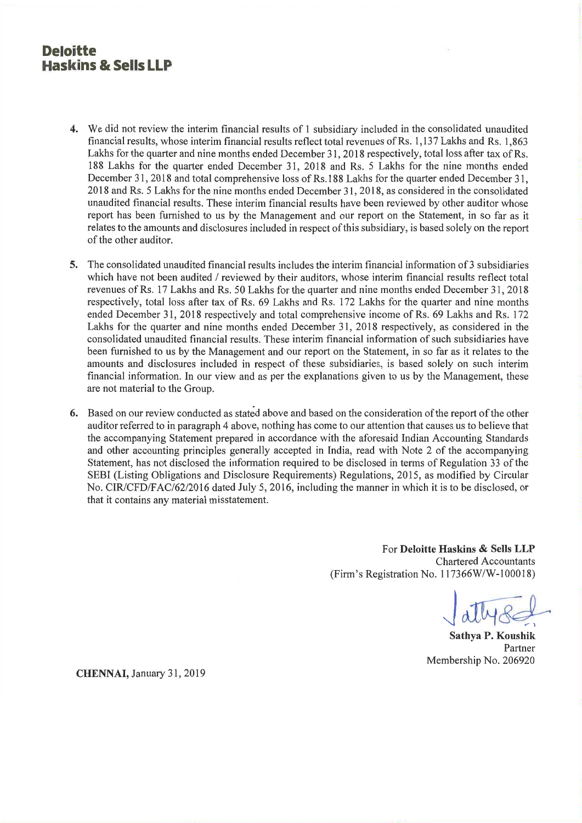# **Deloitte Haskins & Sells LLP**

- 4. We did not review the interim financial results of 1 subsidiary included in the consolidated unaudited financial results, whose interim financial results reflect total revenues of Rs. 1,137 Lakhs and Rs. 1,863 Lakhs for the quarter and nine months ended December 31, 2018 respectively, total loss after tax of Rs. 188 Lakhs for the quarter ended December 31, 2018 and Rs. 5 Lakhs for the nine months ended December 31, 2018 and total comprehensive loss of Rs.188 Lakhs for the quarter ended December 31, 2018 and Rs. 5 Lakhs for the nine months ended December 31, 2018, as considered in the consolidated unaudited financial results. These interim financial results have been reviewed by other auditor whose report has been furnished to us by the Management and our report on the Statement, in so far as it relates to the amounts and disclosures included in respect of this subsidiary, is based solely on the report of the other auditor.
- 5. The consolidated unaudited financial results includes the interim financial information of 3 subsidiaries which have not been audited / reviewed by their auditors, whose interim financial results reflect total revenues of Rs. 17 Lakhs and Rs. 50 Lakhs for the quarter and nine months ended December 31, 2018 respectively, total loss after tax of Rs. 69 Lakhs and Rs. 172 Lakhs for the quarter and nine months ended December 31, 2018 respectively and total comprehensive income of Rs. 69 Lakhs and Rs. 172 Lakhs for the quarter and nine months ended December 31, 2018 respectively, as considered in the consolidated unaudited financial results. These interim financial information of such subsidiaries have been furnished to us by the Management and our report on the Statement, in so far as it relates to the amounts and disclosures included in respect of these subsidiaries, is based solely on such interim financial information. In our view and as per the explanations given to us by the Management, these are not material to the Group.
- 6. Based on our review conducted as stated above and based on the consideration of the report of the other auditor referred to in paragraph 4 above, nothing has come to our attention that causes us to believe that the accompanying Statement prepared in accordance with the aforesaid Indian Accounting Standards and other accounting principles generally accepted in India, read with Note 2 of the accompanying Statement, has not disclosed the information required to be disclosed in terms of Regulation 33 of the SEBI (Listing Obligations and Disclosure Requirements) Regulations, 2015, as modified by Circular No. CIR/CFD/FAC/62/2016 dated July 5, 2016, including the manner in which it is to be disclosed, or that it contains any material misstatement.

For Deloitte Haskins & Sells LLP **Chartered Accountants** (Firm's Registration No. 117366W/W-100018)

**Sathya P. Koushik** Partner Membership No. 206920

CHENNAI, January 31, 2019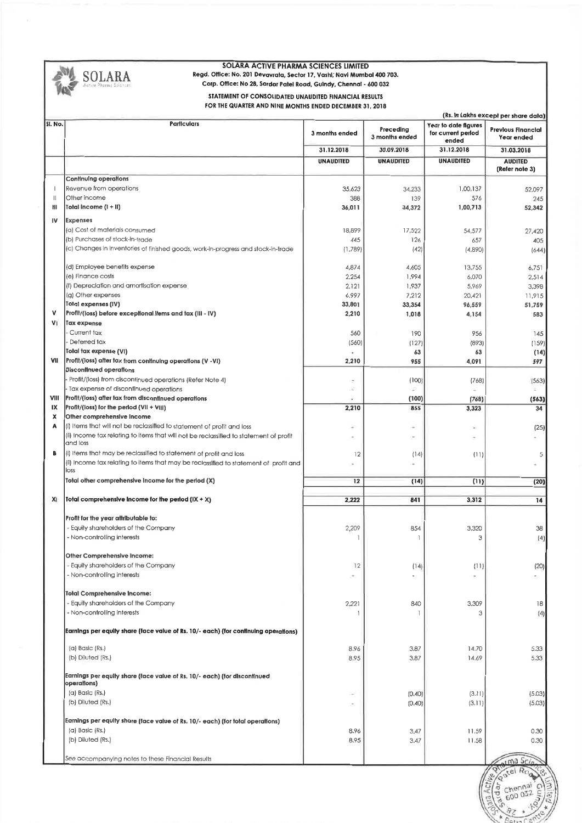SOLARA

SOLARA ACTIVE PHARMA SCIENCES LIMITED Regd. Office: No. 201 Devavrata, Sector 17, Vashi, Navi Mumbal 400 703.

Corp. Office: No 28, Sardar Patel Road, Guindy, Chennal - 600 032 STATEMENT OF CONSOLIDATED UNAUDITED FINANCIAL RESULTS

FOR THE QUARTER AND NINE MONTHS ENDED DECEMBER 31, 2018

|                          |                                                                                                    |                          |                             |                                                     | (Rs. In Lakhs except per share data)    |
|--------------------------|----------------------------------------------------------------------------------------------------|--------------------------|-----------------------------|-----------------------------------------------------|-----------------------------------------|
| SI. No.                  | <b>Particulars</b>                                                                                 | 3 months ended           | Preceding<br>3 months ended | Year to date figures<br>for current period<br>ended | <b>Previous Financial</b><br>Year ended |
|                          |                                                                                                    | 31.12.2018               | 30.09.2018                  | 31.12.2018                                          | 31.03.2018                              |
|                          |                                                                                                    | <b>UNAUDITED</b>         | <b>UNAUDITED</b>            | <b>UNAUDITED</b>                                    | <b>AUDITED</b>                          |
|                          |                                                                                                    |                          |                             |                                                     | (Refer note 3)                          |
|                          | <b>Continuing operations</b>                                                                       |                          |                             |                                                     |                                         |
| $\overline{\phantom{a}}$ | Revenue from operations                                                                            | 35,623                   | 34,233                      | 1,00,137                                            | 52,097                                  |
| Ш                        | Other income                                                                                       | 388                      | 139                         | 576<br>1,00,713                                     | 245                                     |
| łШ                       | Total Income (I + II)                                                                              | 36,011                   | 34,372                      |                                                     | 52,342                                  |
| IV                       | <b>Expenses</b>                                                                                    |                          |                             |                                                     |                                         |
|                          | (a) Cost of materials consumed                                                                     | 18,899                   | 17,522                      | 54,577                                              | 27,420                                  |
|                          | (b) Purchases of stock-in-trade                                                                    | 445                      | 126                         | 657                                                 | 405                                     |
|                          | (c) Changes in inventories of finished goods, work-in-progress and stock-in-trade                  | (1,789)                  | (42)                        | (4,890)                                             | (644)                                   |
|                          | (d) Employee benefits expense                                                                      | 4,874                    | 4,605                       | 13,755                                              | 6,751                                   |
|                          | (e) Finance costs                                                                                  | 2,254                    | 1,994                       | 6,070                                               | 2,514                                   |
|                          | (f) Depreclation and amortisation expense                                                          | 2,121                    | 1,937                       | 5,969                                               | 3,398                                   |
|                          | (g) Other expenses                                                                                 | 6,997                    | 7,212                       | 20,421                                              | 11,915                                  |
|                          | Total expenses (IV)                                                                                | 33,801                   | 33,354                      | 96,559                                              | 51,759                                  |
| v                        | Profit/(loss) before exceptional items and tax (III - IV)                                          | 2,210                    | 1,018                       | 4,154                                               | 583                                     |
| ۷ï                       | Tax expense                                                                                        |                          |                             |                                                     |                                         |
|                          | - Current tax                                                                                      | 560                      | 190                         | 956                                                 | 145                                     |
|                          | Deferred tax<br>Total tax expense (VI)                                                             | (560)                    | (127)<br>63                 | (893)<br>63                                         | (159)                                   |
| VII                      | Profit/(loss) after tax from continuing operations (V -VI)                                         | 2,210                    | 955                         | 4,091                                               | (14)<br>597                             |
|                          | <b>Discontinued operations</b>                                                                     |                          |                             |                                                     |                                         |
|                          | - Profit/(loss) from discontinued operations (Refer Note 4)                                        | $\overline{\phantom{a}}$ | (100)                       | (768)                                               | (563)                                   |
|                          | - Tax expense of discontinued operations                                                           | Ξ                        |                             |                                                     |                                         |
| VIII                     | Profit/(loss) after tax from discontinued operations                                               |                          | (100)                       | (768)                                               | (563)                                   |
| IX                       | Profit/(loss) for the period (VII + VIII)                                                          | 2,210                    | 855                         | 3,323                                               | 34                                      |
| х                        | Other comprehensive income                                                                         |                          |                             |                                                     |                                         |
| Α                        | (i) Items that will not be reclassified to statement of profit and loss                            | $\geq$                   | $\sim$                      | ×                                                   | (25)                                    |
|                          | (ii) income tax relating to items that will not be reclassified to statement of profit<br>and loss |                          |                             |                                                     | $\overline{\phantom{a}}$                |
| В                        | (i) Items that may be reclassified to statement of profit and loss                                 |                          |                             | (11)                                                |                                         |
|                          | (ii) Income tax relating to items that may be reclassified to statement of profit and              | 12                       | (14)                        |                                                     | 5                                       |
|                          | loss                                                                                               |                          |                             |                                                     | $\bar{ }$                               |
|                          | Total other comprehensive income for the period (X)                                                | 12                       | (14)                        | (11)                                                | (20)                                    |
|                          |                                                                                                    |                          |                             |                                                     |                                         |
| XI                       | Total comprehensive income for the period $(IX + X)$                                               | 2,222                    | 841                         | 3,312                                               | 14                                      |
|                          |                                                                                                    |                          |                             |                                                     |                                         |
|                          | Profit for the year attributable to:                                                               |                          |                             |                                                     |                                         |
|                          | - Equity shareholders of the Company                                                               | 2,209                    | 854                         | 3,320                                               | 38                                      |
|                          | - Non-controlling interests                                                                        |                          |                             | 3                                                   | (4)                                     |
|                          | Other Comprehensive Income:                                                                        |                          |                             |                                                     |                                         |
|                          | - Equity shareholders of the Company                                                               | 12                       | (14)                        | (11)                                                |                                         |
|                          | - Non-controlling interests                                                                        |                          |                             |                                                     | (20)                                    |
|                          |                                                                                                    |                          |                             |                                                     |                                         |
|                          | <b>Total Comprehensive Income:</b>                                                                 |                          |                             |                                                     |                                         |
|                          | - Equity shareholders of the Company                                                               | 2,221                    | 840                         | 3,309                                               | 18                                      |
|                          | - Non-controlling interests                                                                        |                          |                             | 3                                                   | (4)                                     |
|                          |                                                                                                    |                          |                             |                                                     |                                         |
|                          | Earnings per equity share (face value of Rs. 10/- each) (for continuing operations)                |                          |                             |                                                     |                                         |
|                          | (a) Basic (Rs.)                                                                                    | 8.96                     | 3.87                        | 14.70                                               | 5.33                                    |
|                          | (b) Diluted (Rs.)                                                                                  | 8.95                     | 3.87                        | 14.69                                               | 5.33                                    |
|                          |                                                                                                    |                          |                             |                                                     |                                         |
|                          | Earnings per equily share (face value of Rs. 10/- each) (for discontinued                          |                          |                             |                                                     |                                         |
|                          | operations)                                                                                        |                          |                             |                                                     |                                         |
|                          | (a) Basic (Rs.)                                                                                    | ۷                        | (0.40)                      | (3.11)                                              | (5.03)                                  |
|                          | (b) Diluted (Rs.)                                                                                  | $\sim$                   | (0.40)                      | (3.11)                                              | (5.03)                                  |
|                          | Earnings per equity share (face value of Rs. 10/- each) (for total operations)                     |                          |                             |                                                     |                                         |
|                          | (a) Basic (Rs.)                                                                                    | 8.96                     |                             |                                                     |                                         |
|                          | (b) Diluted (Rs.)                                                                                  | 8.95                     | 3,47<br>3.47                | 11.59<br>11.58                                      | 0.30<br>0.30                            |
|                          |                                                                                                    |                          |                             |                                                     |                                         |
|                          | see accompanying notes to these Financial Results                                                  |                          |                             |                                                     | 6m                                      |
|                          |                                                                                                    |                          |                             |                                                     |                                         |
|                          |                                                                                                    |                          |                             |                                                     |                                         |

 $\frac{1}{2}$  of  $\frac{1}{2}$  chennal<br> $\frac{1}{2}$  600 032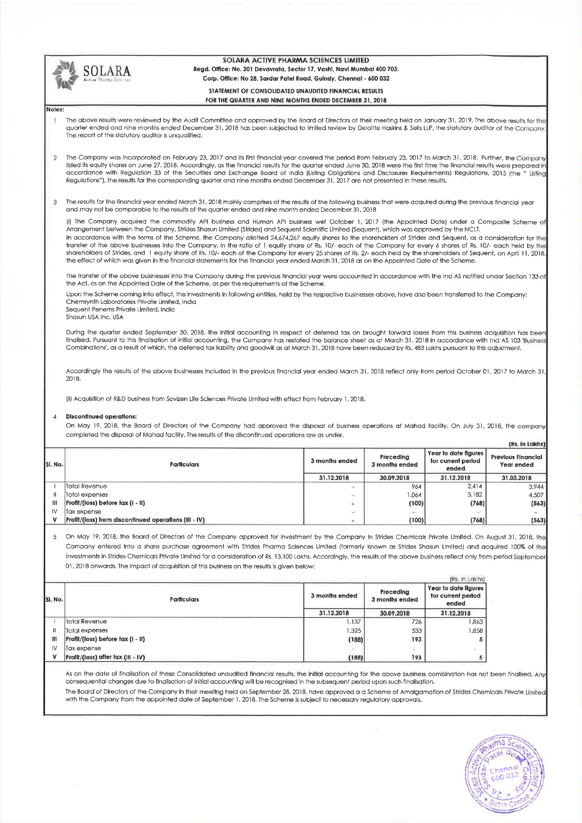|                | SOLARA ACTIVE PHARMA SCIENCES LIMITED<br>Regd. Office: No. 201 Devavrata, Sector 17, Vashi, Navi Mumbal 400 703.<br>Corp. Office: No 28, Sardar Patel Road, Guindy, Chennal - 600 032<br>Active Pharma Smithered                                                                                                                                                                                                                                                                                                                                                                                                                                                                                                                                                                                                                                                                                                                                                    |
|----------------|---------------------------------------------------------------------------------------------------------------------------------------------------------------------------------------------------------------------------------------------------------------------------------------------------------------------------------------------------------------------------------------------------------------------------------------------------------------------------------------------------------------------------------------------------------------------------------------------------------------------------------------------------------------------------------------------------------------------------------------------------------------------------------------------------------------------------------------------------------------------------------------------------------------------------------------------------------------------|
|                | STATEMENT OF CONSOLIDATED UNAUDITED FINANCIAL RESULTS<br>FOR THE QUARTER AND NINE MONTHS ENDED DECEMBER 31, 2018                                                                                                                                                                                                                                                                                                                                                                                                                                                                                                                                                                                                                                                                                                                                                                                                                                                    |
| Notes:         |                                                                                                                                                                                                                                                                                                                                                                                                                                                                                                                                                                                                                                                                                                                                                                                                                                                                                                                                                                     |
|                | The above results were reviewed by the Audit Committee and approved by the Board of Directors of their meeting held on January 31, 2019. The above results for the<br>quarler ended and nine months ended December 31, 2018 has been subjected to limited review by Deloitte Haskins & Sells LLP, the statutory auditor of the Company,<br>The report of the statutory auditor is unqualified.                                                                                                                                                                                                                                                                                                                                                                                                                                                                                                                                                                      |
| $\overline{2}$ | The Company was incorporated on February 23, 2017 and its first financial year covered the period from February 23, 2017 to March 31, 2018. Further, the Company<br>listed its equity shares on June 27, 2018. Accordingly, as the financial results for the quarter ended June 30, 2018 were the first time the financial results were prepared in<br>accordance with Regulation 33 of the Securities and Exchange Board of India (Listing Obligations and Disclosures Requirements) Regulations, 2015 (the "Listing<br>Regulations"), the results for the corresponding quarter and nine months ended December 31, 2017 are not presented in these results.                                                                                                                                                                                                                                                                                                       |
| 3              | The results for the financial year ended March 31, 2018 mainly comprises of the results of the following business that were acquired during the previous financial year<br>and may not be comparable to the results of the quarter ended and nine month ended December 31, 2018                                                                                                                                                                                                                                                                                                                                                                                                                                                                                                                                                                                                                                                                                     |
|                | (i) The Company acquired the commodity API business and Human API business wef October 1, 2017 (the Appointed Date) under a Composite Scheme of<br>Arrangement between the Company, Strides Shasun Limited (Strides) and Sequent Scientific Limited (Sequent), which was approved by the NCLT.<br>In accordance with the terms of the Scheme, the Company allotted 24,674,267 equity shares to the shareholders of Strides and Sequent, as a consideration for the<br>transfer of the above businesses Into the Company, in the ratio of 1 equity share of Rs. 10/- each of the Company for every 6 shares of Rs. 10/- each held by the<br>shareholders of Strides, and 1 equity share of Rs. 10/- each of the Company for every 25 shares of Rs. 2/- each held by the shareholders of Sequent, on April 11, 2018.<br>the effect of which was given in the financial statements for the financial year ended March 31, 2018 as on the AppoInted Date of the Scheme. |
|                | The transfer of the above businesses into the Company during the previous financial year were accounted In accordance with the Ind AS notified under Section 133 di<br>the Act, as on the Appointed Date of the Scheme, as per the requirements of the Scheme.                                                                                                                                                                                                                                                                                                                                                                                                                                                                                                                                                                                                                                                                                                      |
|                | Upon the Scheme coming into effect, the investments In following entities, held by the respective businesses above, have also been transferred to the Company;<br>Chemsynth Laboratories Private Limited, India<br>Sequent Penems Private Limited, India<br>Shasun USA Inc, USA                                                                                                                                                                                                                                                                                                                                                                                                                                                                                                                                                                                                                                                                                     |
|                | During the quarter ended September 30, 2018, the initial accounting in respect of deferred tax on brought forward losses from this business acquisition has been<br>finalised. Pursuant to this finalisation of initial accounting, the Company has restated the balance sheet as at March 31, 2018 in accordance with Ind AS 103 'Business<br>Combinations', as a result of which, the deferred tax liability and goodwill as at March 31, 2018 have been reduced by Rs. 483 Lakhs pursuant to this adjustment,                                                                                                                                                                                                                                                                                                                                                                                                                                                    |
|                | Accordingly the results of the above businesses included in the previous financial year ended March 31, 2018 reflect only from period October 01, 2017 to March 31,<br>2018.                                                                                                                                                                                                                                                                                                                                                                                                                                                                                                                                                                                                                                                                                                                                                                                        |

(ii) Acquisition of R&D business from Sovizen Life Sclences Private Limited with effect from February 1, 2018.

#### $\overline{4}$ **Disconfinued operations:**

On May 19, 2018, the Board of Directors of the Company had approved the disposal of business operations at Mahad facility. On July 31, 2018, the company completed the disposal of Mahad facility. The results of the discontinued operations are as under.

|               | (Rs. In Lakhs)                                        |                             |                             |                                                     |                                         |  |  |
|---------------|-------------------------------------------------------|-----------------------------|-----------------------------|-----------------------------------------------------|-----------------------------------------|--|--|
| SI. No.       | <b>Particulars</b>                                    | 3 months ended              | Preceding<br>3 months ended | Year to date figures<br>for current period<br>ended | <b>Previous Financial</b><br>Year ended |  |  |
|               |                                                       | 31.12.2018                  | 30.09.2018                  | 31.12.2018                                          | 31.03.2018                              |  |  |
|               | Total Revenue                                         | ÷                           | 964                         | 2.414                                               | 3.944                                   |  |  |
| Ш             | Total expenses                                        | 32                          | .064                        | 3,182                                               | 4.507                                   |  |  |
| Ш             | Profit/(loss) before tax (I - II)                     | ۰                           | (100)                       | (768)                                               | (563)                                   |  |  |
| $\mathsf{IV}$ | lTax expense                                          | œ.                          | n.                          |                                                     |                                         |  |  |
|               | Profit/(loss) from discontinued operations (III - IV) | $\mathcal{A}^{\mathcal{I}}$ | (100)                       | (768)                                               | (563)                                   |  |  |
|               |                                                       |                             |                             |                                                     |                                         |  |  |

On May 19, 2018, the Board of Directors of the Company approved for investment by the Company In Strides Chemicals Private Limited. On August 31, 2018, the 5 Company entered Into a share purchase agreement with Strides Pharma Sciences Limited (formerly known as Strides Shasun Limited) and acquired 100% of the Investments in Strides Chemicals Private Limited for a consideration of Rs. 13,100 Lakhs. Accordingly, the results of the above business reflect only from period September 01, 2018 onwards. The impact of acquisition of this business on the results is given below:

|         | (Rs. In Lakhs)                     |                |                             |                                                     |  |  |  |
|---------|------------------------------------|----------------|-----------------------------|-----------------------------------------------------|--|--|--|
| SI. No. | <b>Particulars</b>                 | 3 months ended | Preceding<br>3 months ended | Year to date figures<br>for current period<br>ended |  |  |  |
|         |                                    | 31.12.2018     | 30.09.2018                  | 31.12.2018                                          |  |  |  |
|         | <b>Total Revenue</b>               | 1.137          | 726                         | 1,863                                               |  |  |  |
|         | Total expenses                     | 1,325          | 533                         | 1,858                                               |  |  |  |
| Ш       | Profit/(loss) before tax (I - II)  | (188)          | 193                         |                                                     |  |  |  |
| IV      | Tax expense                        | $\sim$         | ÷                           | Ξ                                                   |  |  |  |
|         | Profit/(loss) after tax (III - IV) | (188)          | 193                         |                                                     |  |  |  |

As on the date of finalisation of these Consolidated unaudited financial results, the initial accounting for the above business combination has not been finalised. Any consequential changes due to finalisation of initial accounting will be recognised in the subsequent period upon such finalisation.

The Board of Directors of the Company in their meeting held on September 28, 2018, have approved a a Scheme of Amalgamation of Strides Chemicals Private Limited with the Company from the appointed date of September 1, 2018. The Scheme is subject to necessary regulatory approvals.